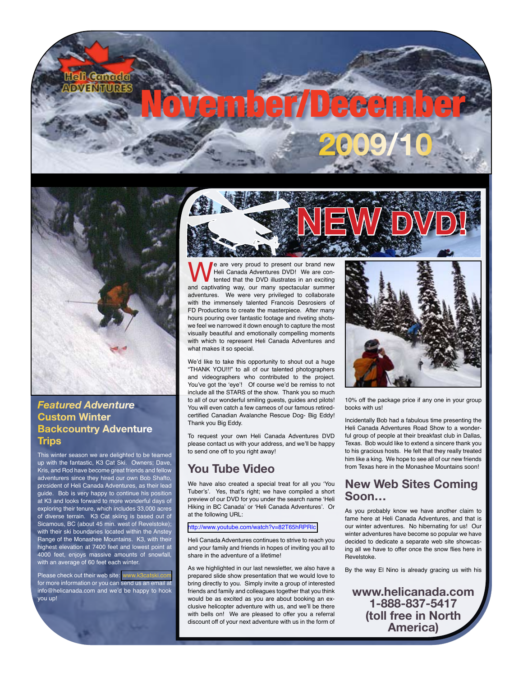



### *Featured Adventure* **Custom Winter Backcountry Adventure Trips**

This winter season we are delighted to be teamed up with the fantastic, K3 Cat Ski. Owners; Dave, Kris, and Rod have become great friends and fellow adventurers since they hired our own Bob Shafto, president of Heli Canada Adventures, as their lead guide. Bob is very happy to continue his position at K3 and looks forward to more wonderful days of exploring their tenure, which includes 33,000 acres of diverse terrain. K3 Cat skiing is based out of Sicamous, BC (about 45 min. west of Revelstoke); with their ski boundaries located within the Anst Range of the Monashee Mountains. K3, with their highest elevation at 7400 feet and lowest point at 4000 feet, enjoys massive amounts of snowfall, with an average of 60 feet each winter.

Please check out their web site: www.k3catsk for more information or you can send us an email at info@helicanada.com and we'd be happy to hook you up!



We are very proud to present our brand new Heli Canada Adventures DVD! We are contented that the DVD illustrates in an exciting and captivating way, our many spectacular summer Heli Canada Adventures DVD! We are contented that the DVD illustrates in an exciting adventures. We were very privileged to collaborate with the immensely talented Francois Desrosiers of FD Productions to create the masterpiece. After many hours pouring over fantastic footage and riveting shotswe feel we narrowed it down enough to capture the most visually beautiful and emotionally compelling moments with which to represent Heli Canada Adventures and what makes it so special.

We'd like to take this opportunity to shout out a huge "THANK YOU!!!" to all of our talented photographers and videographers who contributed to the project. You've got the 'eye'! Of course we'd be remiss to not include all the STARS of the show. Thank you so much to all of our wonderful smiling guests, guides and pilots! You will even catch a few cameos of our famous retiredcertified Canadian Avalanche Rescue Dog- Big Eddy! Thank you Big Eddy.

To request your own Heli Canada Adventures DVD please contact us with your address, and we'll be happy to send one off to you right away!

# **You Tube Video**

We have also created a special treat for all you 'You Tuber's'. Yes, that's right; we have compiled a short preview of our DVD for you under the search name 'Heli Hiking in BC Canada' or 'Heli Canada Adventures'. Or at the following URL:

#### <http://www.youtube.com/watch?v=82T65hRPRIc>

Heli Canada Adventures continues to strive to reach you and your family and friends in hopes of inviting you all to share in the adventure of a lifetime!

As we highlighted in our last newsletter, we also have a prepared slide show presentation that we would love to bring directly to you. Simply invite a group of interested friends and family and colleagues together that you think would be as excited as you are about booking an exclusive helicopter adventure with us, and we'll be there with bells on! We are pleased to offer you a referral discount off of your next adventure with us in the form of



10% off the package price if any one in your group books with us!

Incidentally Bob had a fabulous time presenting the Heli Canada Adventures Road Show to a wonderful group of people at their breakfast club in Dallas, Texas. Bob would like to extend a sincere thank you to his gracious hosts. He felt that they really treated him like a king. We hope to see all of our new friends from Texas here in the Monashee Mountains soon!

## **New Web Sites Coming Soon…**

As you probably know we have another claim to fame here at Heli Canada Adventures, and that is our winter adventures. No hibernating for us! Our winter adventures have become so popular we have decided to dedicate a separate web site showcasing all we have to offer once the snow flies here in Revelstoke.

By the way El Nino is already gracing us with his

**www.helicanada.com 1-888-837-5417 (toll free in North America)**